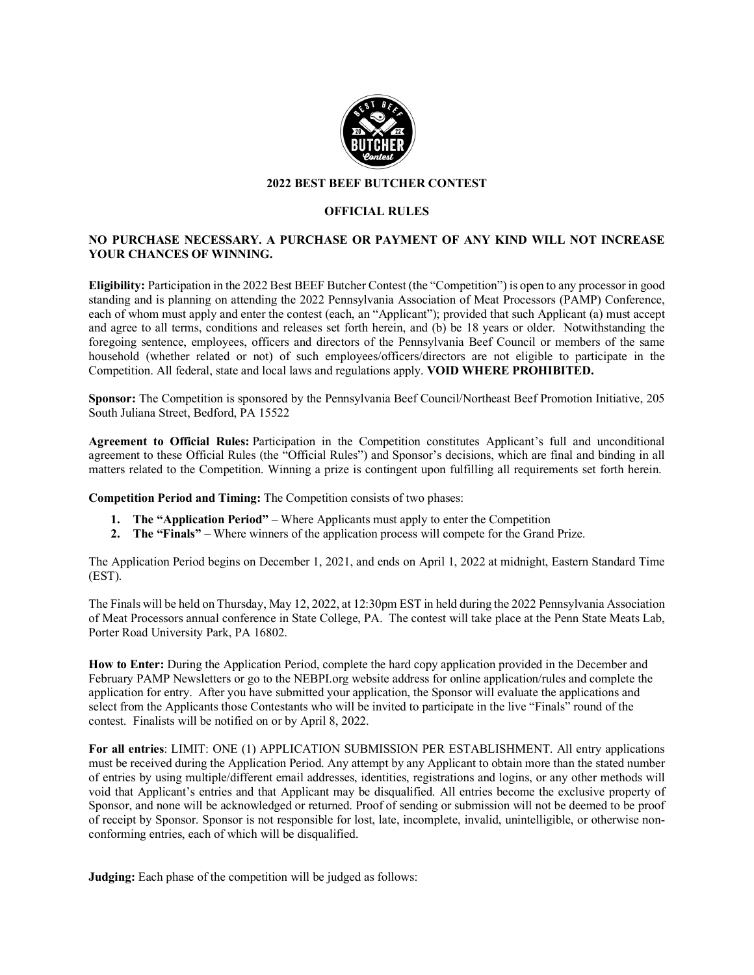

## **2022 BEST BEEF BUTCHER CONTEST**

## **OFFICIAL RULES**

## **NO PURCHASE NECESSARY. A PURCHASE OR PAYMENT OF ANY KIND WILL NOT INCREASE YOUR CHANCES OF WINNING.**

**Eligibility:** Participation in the 2022 Best BEEF Butcher Contest (the "Competition") is open to any processor in good standing and is planning on attending the 2022 Pennsylvania Association of Meat Processors (PAMP) Conference, each of whom must apply and enter the contest (each, an "Applicant"); provided that such Applicant (a) must accept and agree to all terms, conditions and releases set forth herein, and (b) be 18 years or older. Notwithstanding the foregoing sentence, employees, officers and directors of the Pennsylvania Beef Council or members of the same household (whether related or not) of such employees/officers/directors are not eligible to participate in the Competition. All federal, state and local laws and regulations apply. **VOID WHERE PROHIBITED.**

**Sponsor:** The Competition is sponsored by the Pennsylvania Beef Council/Northeast Beef Promotion Initiative, 205 South Juliana Street, Bedford, PA 15522

**Agreement to Official Rules:** Participation in the Competition constitutes Applicant's full and unconditional agreement to these Official Rules (the "Official Rules") and Sponsor's decisions, which are final and binding in all matters related to the Competition. Winning a prize is contingent upon fulfilling all requirements set forth herein.

**Competition Period and Timing:** The Competition consists of two phases:

- **1. The "Application Period"** Where Applicants must apply to enter the Competition
- **2. The "Finals"**  Where winners of the application process will compete for the Grand Prize.

The Application Period begins on December 1, 2021, and ends on April 1, 2022 at midnight, Eastern Standard Time (EST).

The Finals will be held on Thursday, May 12, 2022, at 12:30pm EST in held during the 2022 Pennsylvania Association of Meat Processors annual conference in State College, PA. The contest will take place at the Penn State Meats Lab, Porter Road University Park, PA 16802.

**How to Enter:** During the Application Period, complete the hard copy application provided in the December and February PAMP Newsletters or go to the NEBPI.org website address for online application/rules and complete the application for entry. After you have submitted your application, the Sponsor will evaluate the applications and select from the Applicants those Contestants who will be invited to participate in the live "Finals" round of the contest. Finalists will be notified on or by April 8, 2022.

**For all entries**: LIMIT: ONE (1) APPLICATION SUBMISSION PER ESTABLISHMENT. All entry applications must be received during the Application Period. Any attempt by any Applicant to obtain more than the stated number of entries by using multiple/different email addresses, identities, registrations and logins, or any other methods will void that Applicant's entries and that Applicant may be disqualified. All entries become the exclusive property of Sponsor, and none will be acknowledged or returned. Proof of sending or submission will not be deemed to be proof of receipt by Sponsor. Sponsor is not responsible for lost, late, incomplete, invalid, unintelligible, or otherwise nonconforming entries, each of which will be disqualified.

**Judging:** Each phase of the competition will be judged as follows: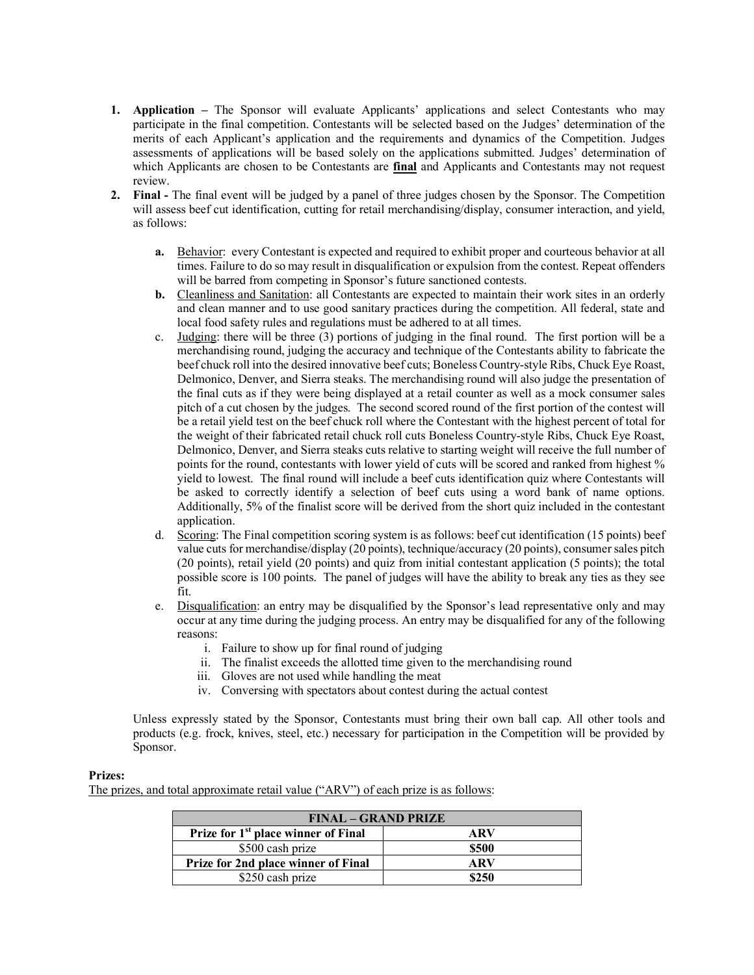- **1. Application –** The Sponsor will evaluate Applicants' applications and select Contestants who may participate in the final competition. Contestants will be selected based on the Judges' determination of the merits of each Applicant's application and the requirements and dynamics of the Competition. Judges assessments of applications will be based solely on the applications submitted. Judges' determination of which Applicants are chosen to be Contestants are **final** and Applicants and Contestants may not request review.
- **2. Final -** The final event will be judged by a panel of three judges chosen by the Sponsor. The Competition will assess beef cut identification, cutting for retail merchandising/display, consumer interaction, and yield, as follows:
	- **a.** Behavior: every Contestant is expected and required to exhibit proper and courteous behavior at all times. Failure to do so may result in disqualification or expulsion from the contest. Repeat offenders will be barred from competing in Sponsor's future sanctioned contests.
	- **b.** Cleanliness and Sanitation: all Contestants are expected to maintain their work sites in an orderly and clean manner and to use good sanitary practices during the competition. All federal, state and local food safety rules and regulations must be adhered to at all times.
	- c. Judging: there will be three (3) portions of judging in the final round. The first portion will be a merchandising round, judging the accuracy and technique of the Contestants ability to fabricate the beef chuck roll into the desired innovative beef cuts; Boneless Country-style Ribs, Chuck Eye Roast, Delmonico, Denver, and Sierra steaks. The merchandising round will also judge the presentation of the final cuts as if they were being displayed at a retail counter as well as a mock consumer sales pitch of a cut chosen by the judges. The second scored round of the first portion of the contest will be a retail yield test on the beef chuck roll where the Contestant with the highest percent of total for the weight of their fabricated retail chuck roll cuts Boneless Country-style Ribs, Chuck Eye Roast, Delmonico, Denver, and Sierra steaks cuts relative to starting weight will receive the full number of points for the round, contestants with lower yield of cuts will be scored and ranked from highest % yield to lowest. The final round will include a beef cuts identification quiz where Contestants will be asked to correctly identify a selection of beef cuts using a word bank of name options. Additionally, 5% of the finalist score will be derived from the short quiz included in the contestant application.
	- d. Scoring: The Final competition scoring system is as follows: beef cut identification (15 points) beef value cuts for merchandise/display (20 points), technique/accuracy (20 points), consumer sales pitch (20 points), retail yield (20 points) and quiz from initial contestant application (5 points); the total possible score is 100 points. The panel of judges will have the ability to break any ties as they see fit.
	- e. Disqualification: an entry may be disqualified by the Sponsor's lead representative only and may occur at any time during the judging process. An entry may be disqualified for any of the following reasons:
		- i. Failure to show up for final round of judging
		- ii. The finalist exceeds the allotted time given to the merchandising round
		- iii. Gloves are not used while handling the meat
		- iv. Conversing with spectators about contest during the actual contest

Unless expressly stated by the Sponsor, Contestants must bring their own ball cap. All other tools and products (e.g. frock, knives, steel, etc.) necessary for participation in the Competition will be provided by Sponsor.

## **Prizes:**

The prizes, and total approximate retail value ("ARV") of each prize is as follows:

| <b>FINAL – GRAND PRIZE</b>                      |       |
|-------------------------------------------------|-------|
| Prize for 1 <sup>st</sup> place winner of Final | ARV   |
| \$500 cash prize                                | \$500 |
| Prize for 2nd place winner of Final             | ARV   |
| \$250 cash prize                                | \$250 |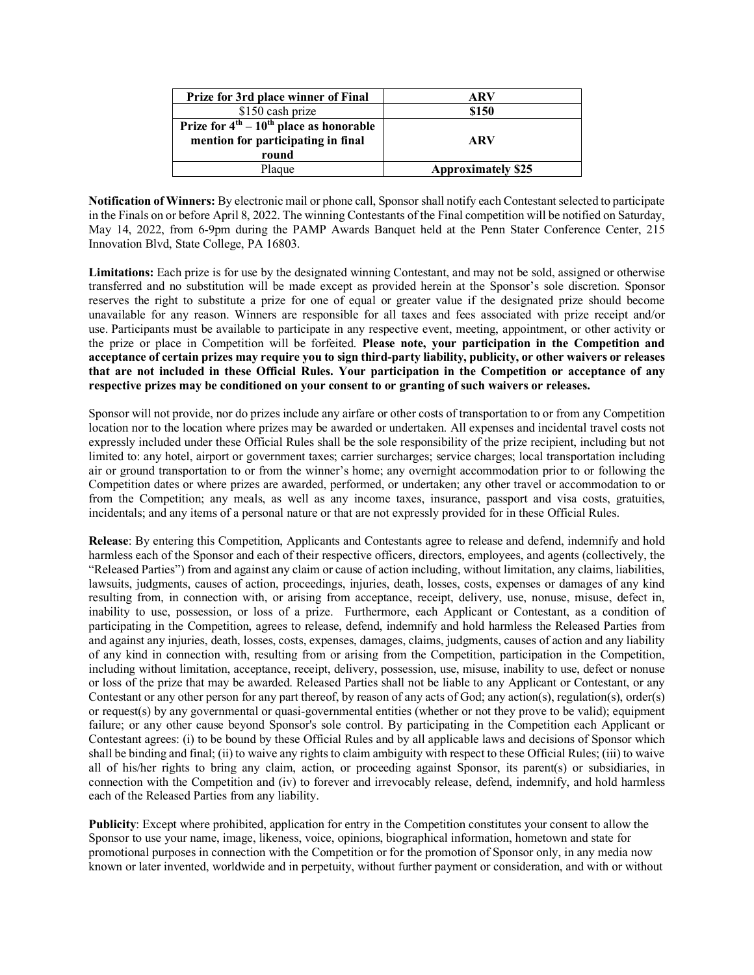| Prize for 3rd place winner of Final             | ARV                       |
|-------------------------------------------------|---------------------------|
| \$150 cash prize                                | \$150                     |
| Prize for $4^{th} - 10^{th}$ place as honorable |                           |
| mention for participating in final              | <b>ARV</b>                |
| round                                           |                           |
| Plaque                                          | <b>Approximately \$25</b> |

**Notification of Winners:** By electronic mail or phone call, Sponsor shall notify each Contestant selected to participate in the Finals on or before April 8, 2022. The winning Contestants of the Final competition will be notified on Saturday, May 14, 2022, from 6-9pm during the PAMP Awards Banquet held at the Penn Stater Conference Center, 215 Innovation Blvd, State College, PA 16803.

**Limitations:** Each prize is for use by the designated winning Contestant, and may not be sold, assigned or otherwise transferred and no substitution will be made except as provided herein at the Sponsor's sole discretion. Sponsor reserves the right to substitute a prize for one of equal or greater value if the designated prize should become unavailable for any reason. Winners are responsible for all taxes and fees associated with prize receipt and/or use. Participants must be available to participate in any respective event, meeting, appointment, or other activity or the prize or place in Competition will be forfeited. **Please note, your participation in the Competition and acceptance of certain prizes may require you to sign third-party liability, publicity, or other waivers or releases that are not included in these Official Rules. Your participation in the Competition or acceptance of any respective prizes may be conditioned on your consent to or granting of such waivers or releases.**

Sponsor will not provide, nor do prizes include any airfare or other costs of transportation to or from any Competition location nor to the location where prizes may be awarded or undertaken. All expenses and incidental travel costs not expressly included under these Official Rules shall be the sole responsibility of the prize recipient, including but not limited to: any hotel, airport or government taxes; carrier surcharges; service charges; local transportation including air or ground transportation to or from the winner's home; any overnight accommodation prior to or following the Competition dates or where prizes are awarded, performed, or undertaken; any other travel or accommodation to or from the Competition; any meals, as well as any income taxes, insurance, passport and visa costs, gratuities, incidentals; and any items of a personal nature or that are not expressly provided for in these Official Rules.

**Release**: By entering this Competition, Applicants and Contestants agree to release and defend, indemnify and hold harmless each of the Sponsor and each of their respective officers, directors, employees, and agents (collectively, the "Released Parties") from and against any claim or cause of action including, without limitation, any claims, liabilities, lawsuits, judgments, causes of action, proceedings, injuries, death, losses, costs, expenses or damages of any kind resulting from, in connection with, or arising from acceptance, receipt, delivery, use, nonuse, misuse, defect in, inability to use, possession, or loss of a prize. Furthermore, each Applicant or Contestant, as a condition of participating in the Competition, agrees to release, defend, indemnify and hold harmless the Released Parties from and against any injuries, death, losses, costs, expenses, damages, claims, judgments, causes of action and any liability of any kind in connection with, resulting from or arising from the Competition, participation in the Competition, including without limitation, acceptance, receipt, delivery, possession, use, misuse, inability to use, defect or nonuse or loss of the prize that may be awarded. Released Parties shall not be liable to any Applicant or Contestant, or any Contestant or any other person for any part thereof, by reason of any acts of God; any action(s), regulation(s), order(s) or request(s) by any governmental or quasi-governmental entities (whether or not they prove to be valid); equipment failure; or any other cause beyond Sponsor's sole control. By participating in the Competition each Applicant or Contestant agrees: (i) to be bound by these Official Rules and by all applicable laws and decisions of Sponsor which shall be binding and final; (ii) to waive any rights to claim ambiguity with respect to these Official Rules; (iii) to waive all of his/her rights to bring any claim, action, or proceeding against Sponsor, its parent(s) or subsidiaries, in connection with the Competition and (iv) to forever and irrevocably release, defend, indemnify, and hold harmless each of the Released Parties from any liability.

**Publicity**: Except where prohibited, application for entry in the Competition constitutes your consent to allow the Sponsor to use your name, image, likeness, voice, opinions, biographical information, hometown and state for promotional purposes in connection with the Competition or for the promotion of Sponsor only, in any media now known or later invented, worldwide and in perpetuity, without further payment or consideration, and with or without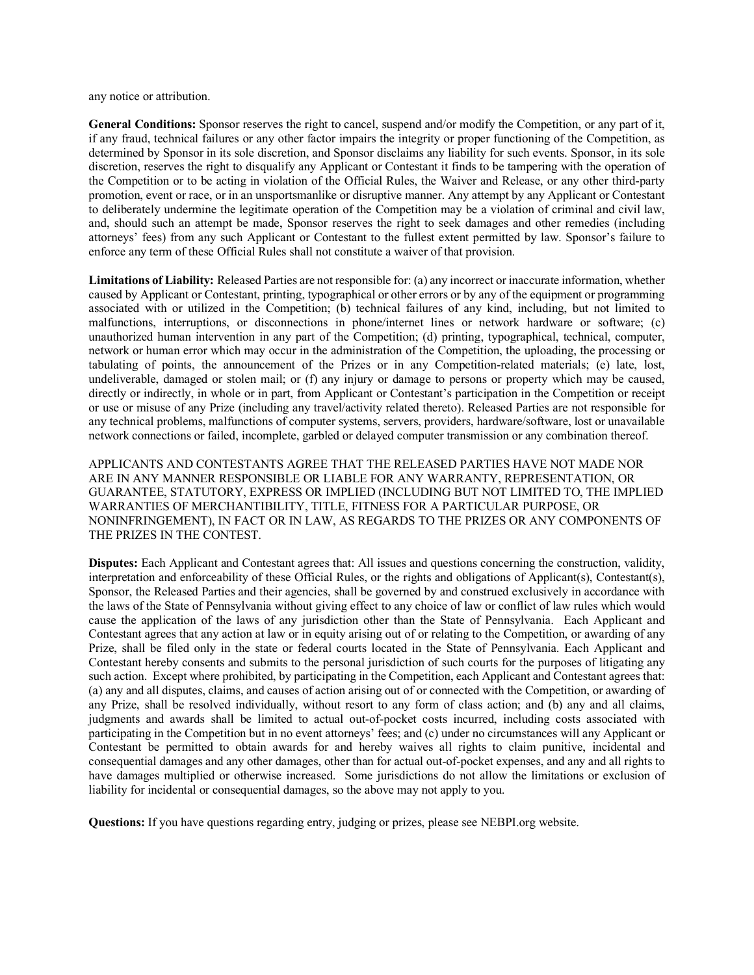any notice or attribution.

**General Conditions:** Sponsor reserves the right to cancel, suspend and/or modify the Competition, or any part of it, if any fraud, technical failures or any other factor impairs the integrity or proper functioning of the Competition, as determined by Sponsor in its sole discretion, and Sponsor disclaims any liability for such events. Sponsor, in its sole discretion, reserves the right to disqualify any Applicant or Contestant it finds to be tampering with the operation of the Competition or to be acting in violation of the Official Rules, the Waiver and Release, or any other third-party promotion, event or race, or in an unsportsmanlike or disruptive manner. Any attempt by any Applicant or Contestant to deliberately undermine the legitimate operation of the Competition may be a violation of criminal and civil law, and, should such an attempt be made, Sponsor reserves the right to seek damages and other remedies (including attorneys' fees) from any such Applicant or Contestant to the fullest extent permitted by law. Sponsor's failure to enforce any term of these Official Rules shall not constitute a waiver of that provision.

**Limitations of Liability:** Released Parties are not responsible for: (a) any incorrect or inaccurate information, whether caused by Applicant or Contestant, printing, typographical or other errors or by any of the equipment or programming associated with or utilized in the Competition; (b) technical failures of any kind, including, but not limited to malfunctions, interruptions, or disconnections in phone/internet lines or network hardware or software; (c) unauthorized human intervention in any part of the Competition; (d) printing, typographical, technical, computer, network or human error which may occur in the administration of the Competition, the uploading, the processing or tabulating of points, the announcement of the Prizes or in any Competition-related materials; (e) late, lost, undeliverable, damaged or stolen mail; or (f) any injury or damage to persons or property which may be caused, directly or indirectly, in whole or in part, from Applicant or Contestant's participation in the Competition or receipt or use or misuse of any Prize (including any travel/activity related thereto). Released Parties are not responsible for any technical problems, malfunctions of computer systems, servers, providers, hardware/software, lost or unavailable network connections or failed, incomplete, garbled or delayed computer transmission or any combination thereof.

APPLICANTS AND CONTESTANTS AGREE THAT THE RELEASED PARTIES HAVE NOT MADE NOR ARE IN ANY MANNER RESPONSIBLE OR LIABLE FOR ANY WARRANTY, REPRESENTATION, OR GUARANTEE, STATUTORY, EXPRESS OR IMPLIED (INCLUDING BUT NOT LIMITED TO, THE IMPLIED WARRANTIES OF MERCHANTIBILITY, TITLE, FITNESS FOR A PARTICULAR PURPOSE, OR NONINFRINGEMENT), IN FACT OR IN LAW, AS REGARDS TO THE PRIZES OR ANY COMPONENTS OF THE PRIZES IN THE CONTEST.

**Disputes:** Each Applicant and Contestant agrees that: All issues and questions concerning the construction, validity, interpretation and enforceability of these Official Rules, or the rights and obligations of Applicant(s), Contestant(s), Sponsor, the Released Parties and their agencies, shall be governed by and construed exclusively in accordance with the laws of the State of Pennsylvania without giving effect to any choice of law or conflict of law rules which would cause the application of the laws of any jurisdiction other than the State of Pennsylvania. Each Applicant and Contestant agrees that any action at law or in equity arising out of or relating to the Competition, or awarding of any Prize, shall be filed only in the state or federal courts located in the State of Pennsylvania. Each Applicant and Contestant hereby consents and submits to the personal jurisdiction of such courts for the purposes of litigating any such action. Except where prohibited, by participating in the Competition, each Applicant and Contestant agrees that: (a) any and all disputes, claims, and causes of action arising out of or connected with the Competition, or awarding of any Prize, shall be resolved individually, without resort to any form of class action; and (b) any and all claims, judgments and awards shall be limited to actual out-of-pocket costs incurred, including costs associated with participating in the Competition but in no event attorneys' fees; and (c) under no circumstances will any Applicant or Contestant be permitted to obtain awards for and hereby waives all rights to claim punitive, incidental and consequential damages and any other damages, other than for actual out-of-pocket expenses, and any and all rights to have damages multiplied or otherwise increased. Some jurisdictions do not allow the limitations or exclusion of liability for incidental or consequential damages, so the above may not apply to you.

**Questions:** If you have questions regarding entry, judging or prizes, please see NEBPI.org website.